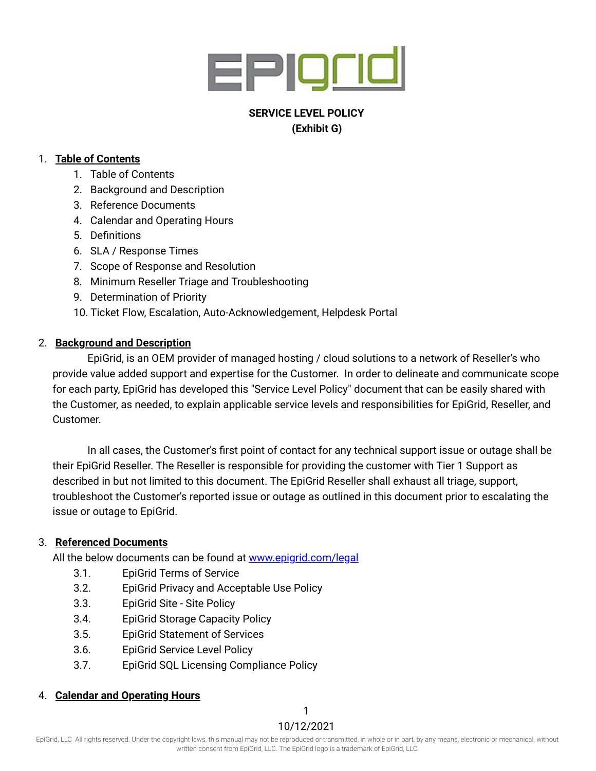

# **SERVICE LEVEL POLICY (Exhibit G)**

#### 1. **Table of Contents**

- 1. Table of Contents
- 2. Background and Description
- 3. Reference Documents
- 4. Calendar and Operating Hours
- 5. Definitions
- 6. SLA / Response Times
- 7. Scope of Response and Resolution
- 8. Minimum Reseller Triage and Troubleshooting
- 9. Determination of Priority
- 10. Ticket Flow, Escalation, Auto-Acknowledgement, Helpdesk Portal

# 2. **Background and Description**

EpiGrid, is an OEM provider of managed hosting / cloud solutions to a network of Reseller's who provide value added support and expertise for the Customer. In order to delineate and communicate scope for each party, EpiGrid has developed this "Service Level Policy" document that can be easily shared with the Customer, as needed, to explain applicable service levels and responsibilities for EpiGrid, Reseller, and Customer.

In all cases, the Customer's first point of contact for any technical support issue or outage shall be their EpiGrid Reseller. The Reseller is responsible for providing the customer with Tier 1 Support as described in but not limited to this document. The EpiGrid Reseller shall exhaust all triage, support, troubleshoot the Customer's reported issue or outage as outlined in this document prior to escalating the issue or outage to EpiGrid.

# 3. **Referenced Documents**

All the below documents can be found at [www.epigrid.com/legal](https://www.epigrid.com/legal)

- 3.1. EpiGrid Terms of Service
- 3.2. EpiGrid Privacy and Acceptable Use Policy
- 3.3. EpiGrid Site Site Policy
- 3.4. EpiGrid Storage Capacity Policy
- 3.5. EpiGrid Statement of Services
- 3.6. EpiGrid Service Level Policy
- 3.7. EpiGrid SQL Licensing Compliance Policy

# 4. **Calendar and Operating Hours**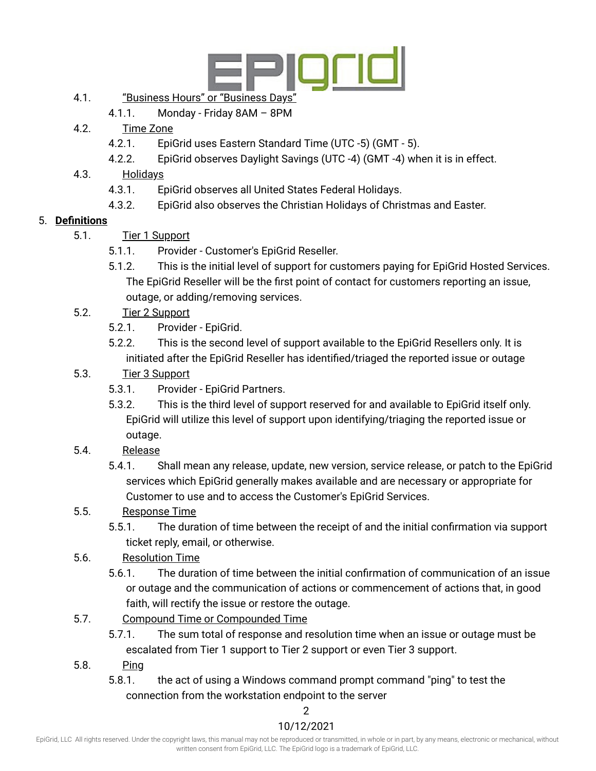

# 4.1. "Business Hours" or "Business Days"

- 4.1.1. Monday Friday 8AM 8PM
- 4.2. Time Zone
	- 4.2.1. EpiGrid uses Eastern Standard Time (UTC -5) (GMT 5).
	- 4.2.2. EpiGrid observes Daylight Savings (UTC -4) (GMT -4) when it is in effect.
- 4.3. Holidays
	- 4.3.1. EpiGrid observes all United States Federal Holidays.
	- 4.3.2. EpiGrid also observes the Christian Holidays of Christmas and Easter.

#### 5. **Definitions**

- 5.1. Tier 1 Support
	- 5.1.1. Provider Customer's EpiGrid Reseller.
	- 5.1.2. This is the initial level of support for customers paying for EpiGrid Hosted Services. The EpiGrid Reseller will be the first point of contact for customers reporting an issue, outage, or adding/removing services.
- 5.2. Tier 2 Support
	- 5.2.1. Provider EpiGrid.
	- 5.2.2. This is the second level of support available to the EpiGrid Resellers only. It is initiated after the EpiGrid Reseller has identified/triaged the reported issue or outage
- 5.3. Tier 3 Support
	- 5.3.1. Provider EpiGrid Partners.
	- 5.3.2. This is the third level of support reserved for and available to EpiGrid itself only. EpiGrid will utilize this level of support upon identifying/triaging the reported issue or outage.
- 5.4. Release
	- 5.4.1. Shall mean any release, update, new version, service release, or patch to the EpiGrid services which EpiGrid generally makes available and are necessary or appropriate for Customer to use and to access the Customer's EpiGrid Services.

# 5.5. Response Time

- 5.5.1. The duration of time between the receipt of and the initial confirmation via support ticket reply, email, or otherwise.
- 5.6. Resolution Time
	- 5.6.1. The duration of time between the initial confirmation of communication of an issue or outage and the communication of actions or commencement of actions that, in good faith, will rectify the issue or restore the outage.
- 5.7. Compound Time or Compounded Time
	- 5.7.1. The sum total of response and resolution time when an issue or outage must be escalated from Tier 1 support to Tier 2 support or even Tier 3 support.
- 5.8. Ping
	- 5.8.1. the act of using a Windows command prompt command "ping" to test the connection from the workstation endpoint to the server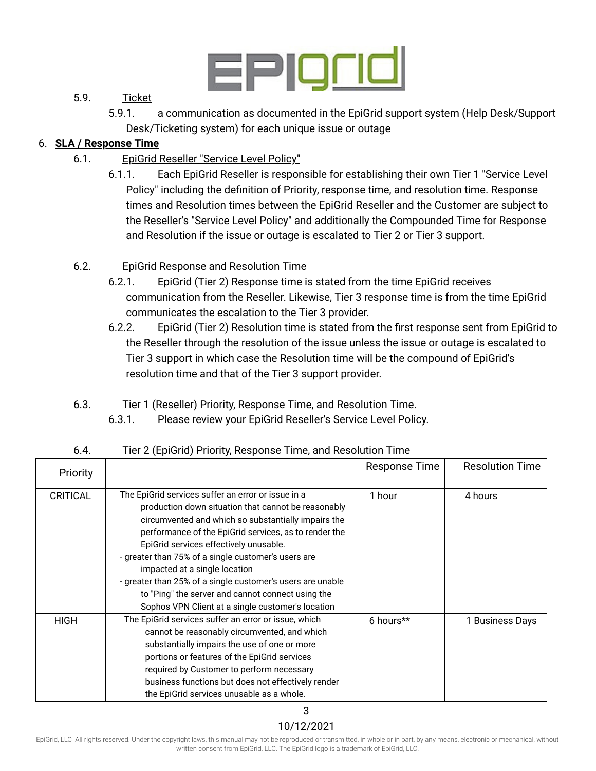

## 5.9. Ticket

5.9.1. a communication as documented in the EpiGrid support system (Help Desk/Support Desk/Ticketing system) for each unique issue or outage

## 6. **SLA / Response Time**

- 6.1. EpiGrid Reseller "Service Level Policy"
	- 6.1.1. Each EpiGrid Reseller is responsible for establishing their own Tier 1 "Service Level Policy" including the definition of Priority, response time, and resolution time. Response times and Resolution times between the EpiGrid Reseller and the Customer are subject to the Reseller's "Service Level Policy" and additionally the Compounded Time for Response and Resolution if the issue or outage is escalated to Tier 2 or Tier 3 support.

# 6.2. EpiGrid Response and Resolution Time

- 6.2.1. EpiGrid (Tier 2) Response time is stated from the time EpiGrid receives communication from the Reseller. Likewise, Tier 3 response time is from the time EpiGrid communicates the escalation to the Tier 3 provider.
- 6.2.2. EpiGrid (Tier 2) Resolution time is stated from the first response sent from EpiGrid to the Reseller through the resolution of the issue unless the issue or outage is escalated to Tier 3 support in which case the Resolution time will be the compound of EpiGrid's resolution time and that of the Tier 3 support provider.
- 6.3. Tier 1 (Reseller) Priority, Response Time, and Resolution Time.
	- 6.3.1. Please review your EpiGrid Reseller's Service Level Policy.

| Priority        |                                                                                                                                                                                                                                                                                                                                                                                                                                                                                                                                     | <b>Response Time</b> | <b>Resolution Time</b> |
|-----------------|-------------------------------------------------------------------------------------------------------------------------------------------------------------------------------------------------------------------------------------------------------------------------------------------------------------------------------------------------------------------------------------------------------------------------------------------------------------------------------------------------------------------------------------|----------------------|------------------------|
| <b>CRITICAL</b> | The EpiGrid services suffer an error or issue in a<br>production down situation that cannot be reasonably<br>circumvented and which so substantially impairs the<br>performance of the EpiGrid services, as to render the<br>EpiGrid services effectively unusable.<br>- greater than 75% of a single customer's users are<br>impacted at a single location<br>- greater than 25% of a single customer's users are unable<br>to "Ping" the server and cannot connect using the<br>Sophos VPN Client at a single customer's location | 1 hour               | 4 hours                |
| <b>HIGH</b>     | The EpiGrid services suffer an error or issue, which<br>cannot be reasonably circumvented, and which<br>substantially impairs the use of one or more<br>portions or features of the EpiGrid services<br>required by Customer to perform necessary<br>business functions but does not effectively render<br>the EpiGrid services unusable as a whole.                                                                                                                                                                                | 6 hours**            | 1 Business Days        |

# 6.4. Tier 2 (EpiGrid) Priority, Response Time, and Resolution Time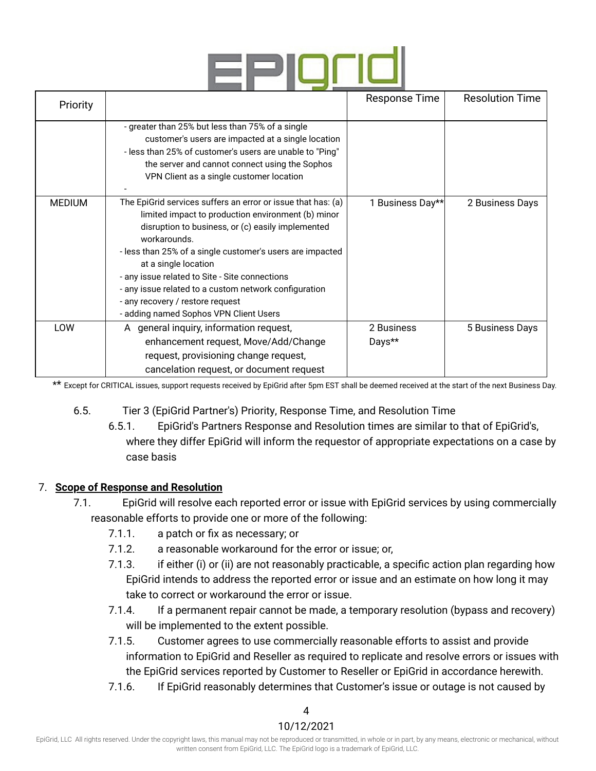

| Priority      |                                                                                                                                                                                                                                                                                                                                                                                                                                                                       | Response Time        | <b>Resolution Time</b> |
|---------------|-----------------------------------------------------------------------------------------------------------------------------------------------------------------------------------------------------------------------------------------------------------------------------------------------------------------------------------------------------------------------------------------------------------------------------------------------------------------------|----------------------|------------------------|
|               | - greater than 25% but less than 75% of a single<br>customer's users are impacted at a single location<br>- less than 25% of customer's users are unable to "Ping"<br>the server and cannot connect using the Sophos<br>VPN Client as a single customer location                                                                                                                                                                                                      |                      |                        |
| <b>MEDIUM</b> | The EpiGrid services suffers an error or issue that has: (a)<br>limited impact to production environment (b) minor<br>disruption to business, or (c) easily implemented<br>workarounds.<br>- less than 25% of a single customer's users are impacted<br>at a single location<br>- any issue related to Site - Site connections<br>- any issue related to a custom network configuration<br>- any recovery / restore request<br>- adding named Sophos VPN Client Users | 1 Business Day**     | 2 Business Days        |
| LOW           | A general inquiry, information request,<br>enhancement request, Move/Add/Change<br>request, provisioning change request,<br>cancelation request, or document request                                                                                                                                                                                                                                                                                                  | 2 Business<br>Days** | 5 Business Days        |

\*\* Except for CRITICAL issues, support requests received by EpiGrid after 5pm EST shall be deemed received at the start of the next Business Day.

- 6.5. Tier 3 (EpiGrid Partner's) Priority, Response Time, and Resolution Time
	- 6.5.1. EpiGrid's Partners Response and Resolution times are similar to that of EpiGrid's, where they differ EpiGrid will inform the requestor of appropriate expectations on a case by case basis

#### 7. **Scope of Response and Resolution**

- 7.1. EpiGrid will resolve each reported error or issue with EpiGrid services by using commercially reasonable efforts to provide one or more of the following:
	- 7.1.1. a patch or fix as necessary; or
	- 7.1.2. a reasonable workaround for the error or issue; or,
	- 7.1.3. if either (i) or (ii) are not reasonably practicable, a specific action plan regarding how EpiGrid intends to address the reported error or issue and an estimate on how long it may take to correct or workaround the error or issue.
	- 7.1.4. If a permanent repair cannot be made, a temporary resolution (bypass and recovery) will be implemented to the extent possible.
	- 7.1.5. Customer agrees to use commercially reasonable efforts to assist and provide information to EpiGrid and Reseller as required to replicate and resolve errors or issues with the EpiGrid services reported by Customer to Reseller or EpiGrid in accordance herewith.
	- 7.1.6. If EpiGrid reasonably determines that Customer's issue or outage is not caused by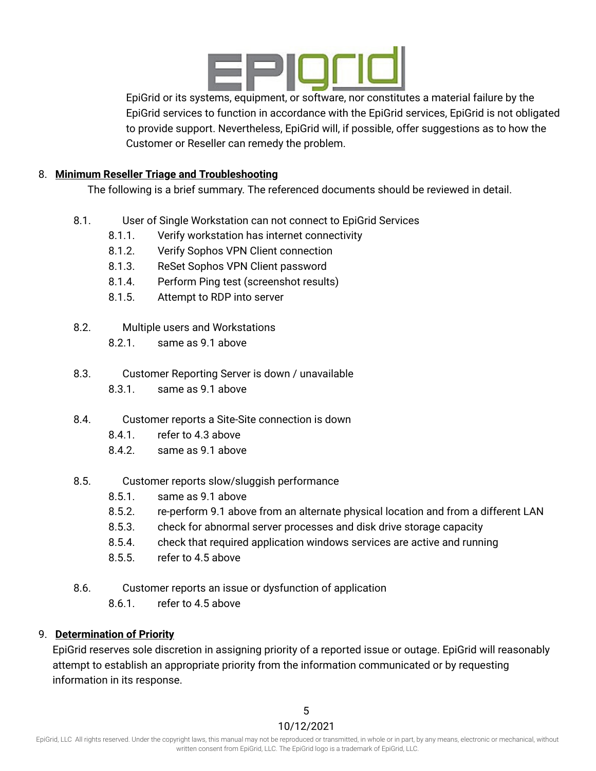

EpiGrid or its systems, equipment, or software, nor constitutes a material failure by the EpiGrid services to function in accordance with the EpiGrid services, EpiGrid is not obligated to provide support. Nevertheless, EpiGrid will, if possible, offer suggestions as to how the Customer or Reseller can remedy the problem.

#### 8. **Minimum Reseller Triage and Troubleshooting**

The following is a brief summary. The referenced documents should be reviewed in detail.

- 8.1. User of Single Workstation can not connect to EpiGrid Services
	- 8.1.1. Verify workstation has internet connectivity
	- 8.1.2. Verify Sophos VPN Client connection
	- 8.1.3. ReSet Sophos VPN Client password
	- 8.1.4. Perform Ping test (screenshot results)
	- 8.1.5. Attempt to RDP into server
- 8.2. Multiple users and Workstations
	- 8.2.1. same as 9.1 above
- 8.3. Customer Reporting Server is down / unavailable 8.3.1. same as 9.1 above
- 8.4. Customer reports a Site-Site connection is down
	- 8.4.1. refer to 4.3 above
	- 8.4.2. same as 9.1 above
- 8.5. Customer reports slow/sluggish performance
	- 8.5.1. same as 9.1 above
	- 8.5.2. re-perform 9.1 above from an alternate physical location and from a different LAN
	- 8.5.3. check for abnormal server processes and disk drive storage capacity
	- 8.5.4. check that required application windows services are active and running
	- 8.5.5. refer to 4.5 above
- 8.6. Customer reports an issue or dysfunction of application
	- 8.6.1. refer to 4.5 above

#### 9. **Determination of Priority**

EpiGrid reserves sole discretion in assigning priority of a reported issue or outage. EpiGrid will reasonably attempt to establish an appropriate priority from the information communicated or by requesting information in its response.